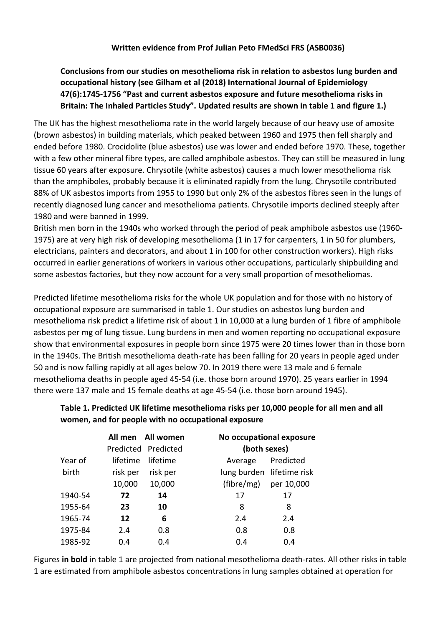## **Conclusions from our studies on mesothelioma risk in relation to asbestos lung burden and occupational history (see Gilham et al (2018) International Journal of Epidemiology 47(6):1745-1756 "Past and current asbestos exposure and future mesothelioma risks in Britain: The Inhaled Particles Study". Updated results are shown in table 1 and figure 1.)**

The UK has the highest mesothelioma rate in the world largely because of our heavy use of amosite (brown asbestos) in building materials, which peaked between 1960 and 1975 then fell sharply and ended before 1980. Crocidolite (blue asbestos) use was lower and ended before 1970. These, together with a few other mineral fibre types, are called amphibole asbestos. They can still be measured in lung tissue 60 years after exposure. Chrysotile (white asbestos) causes a much lower mesothelioma risk than the amphiboles, probably because it is eliminated rapidly from the lung. Chrysotile contributed 88% of UK asbestos imports from 1955 to 1990 but only 2% of the asbestos fibres seen in the lungs of recently diagnosed lung cancer and mesothelioma patients. Chrysotile imports declined steeply after 1980 and were banned in 1999.

British men born in the 1940s who worked through the period of peak amphibole asbestos use (1960- 1975) are at very high risk of developing mesothelioma (1 in 17 for carpenters, 1 in 50 for plumbers, electricians, painters and decorators, and about 1 in 100 for other construction workers). High risks occurred in earlier generations of workers in various other occupations, particularly shipbuilding and some asbestos factories, but they now account for a very small proportion of mesotheliomas.

Predicted lifetime mesothelioma risks for the whole UK population and for those with no history of occupational exposure are summarised in table 1. Our studies on asbestos lung burden and mesothelioma risk predict a lifetime risk of about 1 in 10,000 at a lung burden of 1 fibre of amphibole asbestos per mg of lung tissue. Lung burdens in men and women reporting no occupational exposure show that environmental exposures in people born since 1975 were 20 times lower than in those born in the 1940s. The British mesothelioma death-rate has been falling for 20 years in people aged under 50 and is now falling rapidly at all ages below 70. In 2019 there were 13 male and 6 female mesothelioma deaths in people aged 45-54 (i.e. those born around 1970). 25 years earlier in 1994 there were 137 male and 15 female deaths at age 45-54 (i.e. those born around 1945).

## **Table 1. Predicted UK lifetime mesothelioma risks per 10,000 people for all men and all women, and for people with no occupational exposure**

|         | All men All women |                     |                           | No occupational exposure |  |
|---------|-------------------|---------------------|---------------------------|--------------------------|--|
|         |                   | Predicted Predicted |                           | (both sexes)             |  |
| Year of | lifetime          | lifetime            | Average                   | Predicted                |  |
| birth   | risk per          | risk per            | lung burden lifetime risk |                          |  |
|         | 10,000            | 10,000              | (fibre/mg)                | per 10,000               |  |
| 1940-54 | 72                | 14                  | 17                        | 17                       |  |
| 1955-64 | 23                | 10                  | 8                         | 8                        |  |
| 1965-74 | 12                | 6                   | 2.4                       | 2.4                      |  |
| 1975-84 | 2.4               | 0.8                 | 0.8                       | 0.8                      |  |
| 1985-92 | 0.4               | 0.4                 | 0.4                       | 0.4                      |  |

Figures **in bold** in table 1 are projected from national mesothelioma death-rates. All other risks in table 1 are estimated from amphibole asbestos concentrations in lung samples obtained at operation for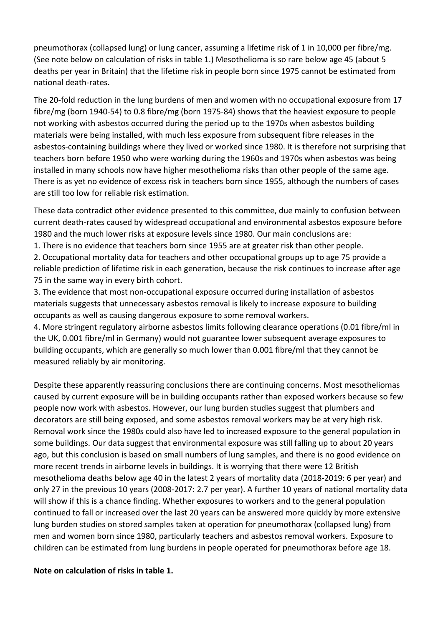pneumothorax (collapsed lung) or lung cancer, assuming a lifetime risk of 1 in 10,000 per fibre/mg. (See note below on calculation of risks in table 1.) Mesothelioma is so rare below age 45 (about 5 deaths per year in Britain) that the lifetime risk in people born since 1975 cannot be estimated from national death-rates.

The 20-fold reduction in the lung burdens of men and women with no occupational exposure from 17 fibre/mg (born 1940-54) to 0.8 fibre/mg (born 1975-84) shows that the heaviest exposure to people not working with asbestos occurred during the period up to the 1970s when asbestos building materials were being installed, with much less exposure from subsequent fibre releases in the asbestos-containing buildings where they lived or worked since 1980. It is therefore not surprising that teachers born before 1950 who were working during the 1960s and 1970s when asbestos was being installed in many schools now have higher mesothelioma risks than other people of the same age. There is as yet no evidence of excess risk in teachers born since 1955, although the numbers of cases are still too low for reliable risk estimation.

These data contradict other evidence presented to this committee, due mainly to confusion between current death-rates caused by widespread occupational and environmental asbestos exposure before 1980 and the much lower risks at exposure levels since 1980. Our main conclusions are:

1. There is no evidence that teachers born since 1955 are at greater risk than other people.

2. Occupational mortality data for teachers and other occupational groups up to age 75 provide a reliable prediction of lifetime risk in each generation, because the risk continues to increase after age 75 in the same way in every birth cohort.

3. The evidence that most non-occupational exposure occurred during installation of asbestos materials suggests that unnecessary asbestos removal is likely to increase exposure to building occupants as well as causing dangerous exposure to some removal workers.

4. More stringent regulatory airborne asbestos limits following clearance operations (0.01 fibre/ml in the UK, 0.001 fibre/ml in Germany) would not guarantee lower subsequent average exposures to building occupants, which are generally so much lower than 0.001 fibre/ml that they cannot be measured reliably by air monitoring.

Despite these apparently reassuring conclusions there are continuing concerns. Most mesotheliomas caused by current exposure will be in building occupants rather than exposed workers because so few people now work with asbestos. However, our lung burden studies suggest that plumbers and decorators are still being exposed, and some asbestos removal workers may be at very high risk. Removal work since the 1980s could also have led to increased exposure to the general population in some buildings. Our data suggest that environmental exposure was still falling up to about 20 years ago, but this conclusion is based on small numbers of lung samples, and there is no good evidence on more recent trends in airborne levels in buildings. It is worrying that there were 12 British mesothelioma deaths below age 40 in the latest 2 years of mortality data (2018-2019: 6 per year) and only 27 in the previous 10 years (2008-2017: 2.7 per year). A further 10 years of national mortality data will show if this is a chance finding. Whether exposures to workers and to the general population continued to fall or increased over the last 20 years can be answered more quickly by more extensive lung burden studies on stored samples taken at operation for pneumothorax (collapsed lung) from men and women born since 1980, particularly teachers and asbestos removal workers. Exposure to children can be estimated from lung burdens in people operated for pneumothorax before age 18.

## **Note on calculation of risks in table 1.**